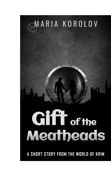

A SHORT STORY FROM THE WORLD OF KRIM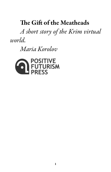# The Gift of the Meatheads

A short story of the Krim virtual world.

Maria Korolov

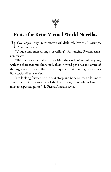

## Praise for Krim Virtual World Novellas

**IIT** f you enjoy Terry Pratchett, you will definitely love this." -Grumps, Amazon review

"Unique and entertaining storytelling." -Far-ranging Reader, Amazon review

"This mystery story takes place within the world of an online game, with the characters simultaneously their in-word personas and aware of the larger world, for an effect that's unique and entertaining." -Francesca Forest, GoodReads review

"I'm looking forward to the next story, and hope to learn a lot more about the backstory to some of the key players, all of whom have the most unexpected quirks!" -L. Pierce, Amazon review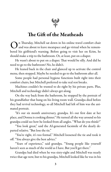

### The Gift of the Meatheads

O n Thursday, Mitchell sat down in his online travel comfort chair and was about to leave meatspace and go virtual when he remembered his girlfriend's warning. Before going to visit her on Krim, he should make a trip to the bathroom. Or, at least, put on a diaper.

He wasn't about to put on a diaper. That would be silly. And did he need to go to the bathroom? No, he didn't.

He leaned back in the chair and glanced up to activate the control menu, then stopped. Maybe he needed to go to the bathroom after all.

Some people had personal hygiene functions built right into their comfort chairs, but Mitchell preferred to take real rest breaks.

Machines couldn't be trusted to do right by his private parts. Plus, Mitchell and technology didn't always get along.

On the way back from the bathroom, he stopped by the portrait of his grandfather that hung on his living room wall. Grandpa died before they had revival technology, so all Mitchell had left of him was the animated portrait.

"It's our six month anniversary, grandpa. It's our first date at her place, and Donna is cooking dinner." He turned all the way around so his grandpa could see how he looked from all angles. "What do you think?"

"You look great," said the AI-generated facsimile of the dearly departed relative. "But lose the tie."

"You're right, it's too formal." Mitchell loosened the tie and took it off. "You always give the best advice."

"Years of experience," said grandpa. "Young people like yourself haven't seen as much of the world as I have. But you'll get there."

Grandpa had died when he was sixty-eight and Mitchell was nearly twice that age now, but to his grandpa, Mitchell looked like he was in his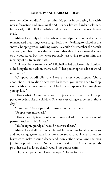twenties. Mitchell didn't correct him. No point in confusing him with new information and breaking the AI. Besides, life was harder back then, in the early 2000s. Folks probably didn't have any modern conveniences at all.

Mitchell was only a little kid when his grandpa died, but he distinctly remembered that things were tough back then. Walking to school in the snow. Chopping wood. Milking cows. He couldn't remember the details anymore, and his parents always insisted that they'd never owned a cow or a wood stove, but they were probably just trying to spare him the memory of his traumatic past.

"I'll never be as smart as you," Mitchell yelled back over his shoulder as he hung the tie back on the tie rack. "I bet you chopped a lot of wood in your life."

"Chopped wood? Oh, sure. I was a master woodchopper. Chop, chop, chop. But we didn't have axes back then, you know. I had to chop wood with a hammer. Sometimes, I had to use a spatula. That toughens you up, kid. "

"That's what Donna says about the place where she lives. It's supposed to be just like the old days. She says everything was better in those days."

"It sure was." Grandpa nodded inside his picture frame.

"People were more real."

"That's certainly true. Look at me. I'm a real salt-of-the-earth kind of person. Authentic. No filters."

"You're right, grandpa. I would never use filters."

Mitchell used all the filters. He had filters on his facial expressions and body language to make him look more self-assured. He had filters on his voice to make it sound deeper and more authoritative. And that was just in the physical world. Online, he was practically all filters. But grandpa didn't need to know that. It would just confuse him.

"Hey, grandpa, should I wear a diaper? Donna told me to."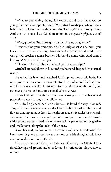"What are you talking about, kid? You're too old for a diaper. Or too young for one." Grandpa chuckled. "We didn't have diapers when I was a baby. I was toilet trained at three months. The 1950s were a tough time. And then, of course, I was killed in action, in the great MySpace war of 2018."

"Wow, grandpa. But I thought you died in a nursing home."

"I was visiting your grandma. She had early-onset Alzheimers, you know. And tempers were high back then. Everyone picked a side. The war pitted brother against brother. Husband against wife. And then I lost my AOL password. I tell you..."

"I'll want to hear all about it when I get back, grandpa."

Mitchell sat back down in his comfort chair and dropped into virtual reality.

He raised his hand and watched it lift up and out of his body. He never got over how cool that was. He stood up and looked back at himself. There was a little drool starting to form on the side of his mouth, but otherwise, he was as handsome a devil as he ever was.

He walked out through the front door, closing his eyes as his virtual projection passed through the solid wood.

Outside, he glanced back at his house. He loved the way it looked. Tiny, with hardly any lawn to speak of, but the borders of shrubbery and flowers that separated it from its neighbors made it feel like his own private oasis. There were roses, and petunias, and gardenias nestled inside white picket fences — both the ones around the perimeter of the garden and smaller ones along the sides of the house.

It was his land, not just an apartment in a high-rise. He inherited the land from his grandpa, and it was the most valuable thing he had. They couldn't make more land, after all.

Unless you counted the space habitats, of course, but Mitchell preferred having real ground under his feet and a horizon that sloped down, not up.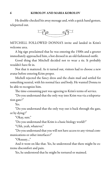#### 6 KOROLOV AND MARIA KOROLOV

He double-checked his away message and, with a quick hand gesture, teleported out.



MITCHELL FOLLOWED DONNA'S invite and landed in Krim's welcome area.

A big sign proclaimed that he was entering the 1500s and a greeter immediately approached him, a bot dressed in an old-fashioned outfit.

Good thing that Mitchell decided not to wear a tie. It probably wouldn't have fit in.

Not that it mattered. As it turned out, visitors had to choose a new avatar before entering Krim proper.

Michell rejected the fancy dress and the chain mail and settled for something neutral, with his normal face and body. He wanted Donna to be able to recognize him.

The time-consuming part was agreeing to Krim's terms of service.

"Do you understand that the only way into Krim was via a teleportation gate?"

Yes.

"Do you understand that the only way out is back through the gate, or by dying?"

"Okay, sure."

"Do you understand that Krim is a basic biology world?"

"Uhh, yeah, whatever."

"Do you understand that you will not have access to any virtual communications or other interfaces?"

"Okaaaay...."

And it went on like that. Yes, he understood that there might be extreme discomfort and pain.

Yes, he understood that he might be tortured or maimed.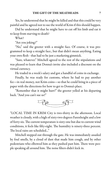Yes, he understood that he might be killed and that this could be very painful and he agreed not to sue the world of Krim if this should happen.

Did he understand that he might have to cut off his limb and eat it to keep from starving to death?

What?

"Are you joking?"

"No," said the greeter with a straight face. Of course, it was programmed to keep a straight face., but that didn't mean anything. Eating your own flesh - that had to be just a marketing gimmick.

"Sure, whatever." Mitchell agreed to the rest of the stipulations and was pleased to learn that Donna's invite also included a discount on the virtual currency.

He traded in a week's salary and got a handful of coins in exchange.

Finally, he was ready for customs, where he had to pay another fee—in real money, not Krim coins—so that he could bring in a piece of paper with the directions for how to get to Donna's place.

"Remember that it might hurt!" the greeter yelled at his departing back. "And you can't sue us!"



"LOCAL TIME IN KRIM City is two-thirty in the afternoon. Local weather is cloudy, with a high of sixty-two degrees Farenheight and a low of forty-six. The current temperature is sixty-one but due to current wind conditions, it feels like fifty-eight. The humidity is ninety-three percent. The local rains are scheduled..."

Mitchell stepped out through the gate. He was immediately assailed by foul smells, by a cloud of dust that made him cough, and by other pedestrians who elbowed him as they pushed past him. There were people speaking all around him. The noise filters didn't kick in.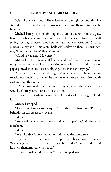"Out of the way, noob!" The voice came from right behind him. He started to turn around when a shove nearly sent him flying onto the cobblestones.

Michell barely kept his footing and stumbled away from the gate, hands over his ears, until he found some clear space in front of a stall selling used, guaranteed blood-stained armor. And weapons. Swords. Knives. Pointy sticks. Big metal balls with spikes on them. T-shirts saying, "I got stabbed by Wolfgang's finest."

"Good day, master! How met?"

Mitchell took his hands off his ears and looked at the vendor manning the weapons stall. He was wearing one of his shirts, and a piece of paper pinned to it said, "I be Wolfgang. Asketh me any thynge."

A particularly shiny sword caught Mitchell's eye, and he was about to ask how much it cost when he saw the one next to it was pitted with rust and slightly chipped.

He'd almost made the mistake of buying a brand-new one. That would definitely have marked him as a noob.

He pointed at it when the owner of the next stall over coughed loudly.

Mitchell stopped.

"Thou thyself art a sensible squire," the other merchant said. "Prithee, behold, yon carl assays to chicane."

"What?"

"Yon steel, tis of a surety a mere and peccant periapt," said the other merchant.

"What?"

"Yeah, I didn't follow that either," admitted the sword seller.

"I quoth..." The other merchant stopped and began again. "I mean, Wolfgang's swords are worthless. They're brittle, don't hold an edge, and he nicks them himself with a rock."

The swordmaker reddened as Mitchell stepped away.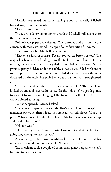"Thanks, you saved me from making a fool of myself," Michell backed away from the swords.

"Thou art most welcome."

The sword seller swore under his breath as Mitchell walked closer to the other merchant's booth.

Rolls of sepia paper were piled up. One, unrolled and anchored at the corners with rocks, was titled, "Mappe of oure faire citie of Krymme."

That looked useful. Mitchell bent over it.

"That one is just for tourists. I've got something better for you." The map seller bent down, holding onto the table with one hand. He was missing his left foot, the pant leg tied off just below the knee. On the ground, partly hidden under the table, a basket was filled with more rolled-up maps. These were much more faded and worn than the ones displayed on the table. He pulled one out at random and straightened up.

"I've been saving this map for someone special." The merchant looked around and lowered his voice. "It's the only one I've got. It points to a secret treasure trove. I'd go get the treasure myself but..." The merchant pointed at his leg.

"What happened?" Michell asked.

"I was on a campaign down south. That's where I got this map." The merchant patted it, then wiped his forehead with his sleeve. "But at a price. What a price." He shook his head. "My foot was caught in a trap and I had to hack it off."

"Oh, my God."

"Don't worry, it didn't go to waste. I roasted it and ate it. Kept me going long enough to reach safety."

A sour, stinging taste rose in Mitchell's throat. He pulled out his money and poured it out on the table. "How much is it?"

The merchant took a couple of coins, then glanced up at Mitchell's face and took a few more.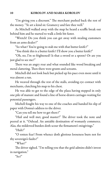"I'm giving you a discount." The merchant pushed back the rest of the money. "Ye art a kind sir. Gramercy and fare thee well."

As Mitchell walked away with the map he heard a scuffle break out behind him and he started to walk a little bit faster.

"Wretch! Do you think you can get away with stealing customers from an arms dealer?"

"So what? You're going to stab me with that butter knife?"

"You think this is a butter knife? I'll show you a butter knife!"

"Oh, no, I'm so frightened! Is that a sword or a spoon? Or are you just glad to see me?"

There was an angry roar and what sounded like wood breaking and metal clattering. Then there were grunts and screams.

Mitchell did not look back but picked up his pace even more until it was almost a run.

He weaved through the rest of the stalls, avoiding eye contact with merchants, clutching his map to his chest.

He was able to get to the edge of the plaza having stepped in only one pile of manure and found a line of horse-drawn carriages waiting for potential passengers.

Michell fought his way to one of the coaches and handed his slip of paper with Donna's address to the driver.

"Can you tell me how to get there?"

"Hail and well met, good master!" The driver took the note and peered at it. "Oxhead. An amiable destination of womanly commerce. Alas, the mildewed burden doth scour the firmament's misgivings."

"Huh?"

"O rotten fear! From whence doth glorious looseness burn not for thy sovereign's faults?"

"What?"

The driver sighed. "I'm telling you that the grid admins didn't invest in navigation."

" $S_0$ ?"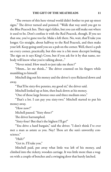"The owners of this here virtual world didn't bother to put up street signs." The driver turned and pointed. "Walk that way until you get to the Blue Peacock Inn. Their sign's fallen, but you can still make out where it used to be. Don't confuse it with the Red Peacock, though. If you see that one, you've gone too far. Make a left there. No, wait, that'll take you longer. Go straight, about halfway to the Red Peacock, and then make your left. Keep going until you see a pub on the corner. Well, there's a pub on every corner, practically, but this one is a bit more decrepit looking. The sign on it says King's Cross, but if you ask for it by that name, nobody will know what you're talking about..."

"Never mind. How much to just take me there?"

"Hmm... let me think..." The driver counted on his fingers while mumbling to himself.

Mitchell dug out his money and the driver's eyes flickered down and away.

"That'll be sixty-five pennies, my good sir," the driver said.

Mitchell looked up at him, then back down at his money.

"One of those large bronze ones and three medium ones."

"That's a lot. I can pay you sixty-two." Mitchell started to put his money away.

"How now!"

Michell paused. "Sixty three?"

The driver harrumphed.

"Sixty-four? But that's the highest I'll go!"

"You drive a hard bargain," said the driver. "I don't think I've ever met a man as astute as you. Nay! Thou art the sun's unworthy conscience."

"Huh?"

"Get in. I'll take you."

Mitchell paid, put away what little was left of his money, and climbed into the rickety, wooden carriage. It was little more than a wagon with a couple of benches and a swinging door that barely latched.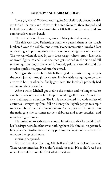"Let's go, Misty." Without waiting for Mitchell to sit down, the driver flicked the reins and Misty took a step forward, then stopped and looked back at the driver reproachfully. Michell fell onto a small and uncomfortable wooden bench.

The driver flicked his reins again and Misty started moving.

The ride was slow. Pedestrians routinely passed them as the coach lumbered over the cobblestone street. Every intersection involved lots of shouting and pushing since there were no streetlights or traffic cops. The way was often blocked by carts, loose wagon wheels, errant livestock, or sword fights. Michell saw one man get stabbed in the side and fall screaming, clutching at the wound. Nobody paid any attention and the attacker quickly disappeared into the crowd.

Sitting on the bench hurt. Michell changed his position frequently as the coach jostled through the streets. His backside was going to be covered with bruises when he finally got there. The locals all probably had calluses on their buttocks.

After a while, Michell got used to the motion and no longer had to clutch the side of the coach to keep from falling off his seat. At first, the city itself kept his attention. The locals were dressed in a wide variety of costumes—everything from full-on Henry the Eighth getups to simple tunics and breaches to chainmail bikinis. As they got further away from the main gate, the costumes got less elaborate and more practical, and more boring to look at.

He looked up to activate his control interface so that he could check his FacePage news, but there was nothing there. He blinked, he gestured, finally he tried to do a hard reset by pressing one finger in his ear and the other on the tip of his nose.

Nothing happened.

For the first time that day, Mitchell realized how isolated he was. There was no interface. He couldn't check his mail. He couldn't read the news. He couldn't even find out what time it was.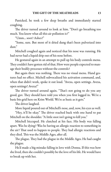Panicked, he took a few deep breaths and immediately started coughing.

The driver turned around to look at him. "Don't go breathing too much. You know what all this air pollution is?"

"Umm... soot? Ashes?"

"Some, sure. But most of it dried dung that's been pulverized into dust."

Mitchell coughed again and noticed that his nose was running. He had never had a liquid drip out of his nose before.

He gestured again in an attempt to pull up his body controls menu. They couldn't have gotten rid of that. How were people expected to manage their bodily processes without the controls?

But again there was nothing. There was no visual menu. Hand gestures had no effect. Michell subvocalized his activation command, and, when that didn't work, spoke it out loud. "Avexa, open settings. Avexa, open settings! Avexa!"

The driver turned around again. "That's not going to do you any good, guv. They should have told you when you first logged in. We're a basic bio grid here on Krim World. We're as basic as it gets."

The driver laughed.

More liquid poured out of Mitchell's nose, and, now, his eyes as well.

"Hey, it'll be okay." The driver reached back with one hand to pat Mitchell on the shoulder. "A little snot isn't going to kill you."

Mitchell hiccuped. He clutched at his face. His body was falling apart. Was he dying? Was he having an allergic reaction to something in the air? That used to happen to people. They had allergic reactions and they died. This was the Middle Ages, after all.

The plague. They had the plague in the Middle Ages. He had caught the plague.

He'd made a big mistake falling in love with Donna. If this was how she lived, then she couldn't possibly be the love of his life. He would have to break up with her.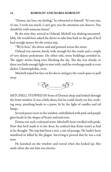#### 14 KOROLOV AND MARIA KOROLOV

"Donna, my love, my darling," he rehearsed to himself. "It's not you, it's me. I work too much, I can't give you the attention you deserve. You should be with someone better."

By the time they arrived at Oxhead, Michell was shaking uncontrollably. He would have asked the driver to take him back to the gate if he'd had enough money for the return trip.

"We're here," the driver said and pointed across the street.

Oxhead was narrow, barely wide enough for the coach and a couple of very skinny pedestrians. On either side, stone buildings crowded in. The upper stories hung over, blocking the sky. The day was cloudy, so there was little enough light to start with, and the overhangs made it even darker. Claustrophobic, even.

Mitchell wiped his face on his sleeve and gave the coach space to pull away.



MITCHELL STOPPED IN front of Donna's shop and looked through the front window. It was a little dusty, but he could clearly see her, working away, attaching beads to a purse, lit by the light of candles and oil lamps.

Several purses were in the window, embellished with pink and purple glass beads in the shapes of hearts and unicorns.

Donna was such a talented artist. Mitchell's heart swelled with pride. Now that he'd made it to her door, he realized that Krim wasn't as bad as he thought. The trip had been a test, a rite of passage. He hadn't been murdered or killed by the plague. Surviving it proved that he was a real man.

He knocked on the window and waved when she looked up. Her smile when she saw him was electric.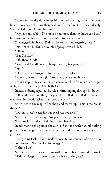Donna ran to the door to let him in and the hug, when they embraced, was more thrilling than he'd ever felt before. He inhaled deeply. She smelled of smoke and incense.

"My love, my rabbit, I've missed you more than my heart can bear," he murmured in her ear. "I never want us to be apart again."

She hugged him back. "Did you have any trouble getting here?"

"No, not at all. I think a couple of people were killed."

"Oh, no!"

"But I'm okay."

"Oh, thank God!"

"And the driver did try to charge me sixty-five pennies."

"No!"

"Don't worry, I bargained him down to sixty-four."

Donna squeezed him tight. "You are so smart and brave."

Donna stepped back and pulled a handkerchief from her sleeve, spit on it, and used it to wipe Mitchell's face.

Instead of being repulsed, he felt a warm tingling through his body.

"Oh, and I got something for you." He pulled the rolled-up treasure map from inside his jacket. "It's a treasure map."

She clutched the map to her chest and teared up. "This is the nicest thing..."

"Donna, there's water in your eyes! Are you sick?"

She wiped the tears away. "No, just so happy. Come on."

She took his hand and led him around her shop.

In addition to the purses, she also sold crystals with natural healing properties and copper bracelets that rebalanced the body's organic energy flows.

"Everything I sell is hand-made by local Krim artisans." She gave him a crystal to hold. "Do you feel its energy?"

"I think I do."

She tied a hemp bracelet strung with wooden beads around his wrist.

"This will keep you safe on your way back to the gate."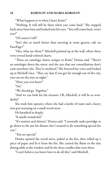"What happens to it when I leave Krim?"

"Nothing. It will still be there when you come back." She stepped back away from him and looked into his eyes. "You will come back, won't you?"

"Of course I will."

"Isn't this so much better than meeting at some generic cafe on FacePage?"

"Hey, what are those?" Mitchell pointed up at the wall, where there were several hand-colored charts.

"These are astrology charts, unique to Krim," Donna said. "There's an astrologer down the street, and she says that our constellations don't exist anywhere else. They're mythical." She lowered her voice and looked up at Michell's face. "They say that if you get far enough out of the city, you can see the stars at night."

"Have you ever been?"

"No."

"We should go. Together."

"And we can look for the treasure. Oh, Mitchell, it will be so wonderful."

She took him upstairs, where she had a kettle of water and a heavy iron pot warming on a small wood stove.

He breathed in deeply.

"It smells wonderful."

"It's mutton and skirrets," Donna said. "I normally make porridge or go down to the inn for dinner, but I wanted to do something special for you."

"You are special."

Donna opened the wood stove, poked at the fire, then rolled up a piece of paper and lit it from the fire. She carried the flame to the tiny dining table at the window and lit the three candles that were there.

"I can't believe you know how to do all this," said Mitchell.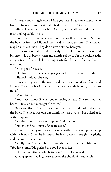"It was a real struggle when I first got here. I had some friends who lived on Krim and got me into it. I had to learn a lot. Sit down."

Mitchell sat at the table while Donna got a metal bowl and ladled the meat and vegetable into it.

"I only have the one bowl and spoon, so we'll have to share." She put the bowl in front of Mitchell and sat down next to him. "The skirrets may be a little stringy. They don't have potatoes here yet."

The skirrets looked like white, sickly carrots. He spooned one up and bit into it. It was barely warm and a little rubbery. On the positive side, a slight taste of radish helped compensate for the lack of salt and other seasonings.

"It's so good," he said.

"Not like that artificial food you get back in the real world, right?" Mitchell nodded, chewing.

"I mean, they say it's the real world, but these days it's all fake," said Donna. "Everyone has filters on their appearance, their voice, their emotions."

"Mmm-hmm."

"You never know if what you're feeling is real." She touched her heart. "Here, on Krim, we get the truth."

With an effort, Mitchell swallowed the skirret and looked down at the bowl. The meat was one big chunk the size of a fist. He poked at it with his spoon.

"Maybe I should have cut it up first," said Donna.

"No, this is fine. You're a fantastic cook."

He gave up on trying to carve the meat with a spoon and picked it up with his hands. When he bit into it he had to chew through the gristle, and the inside was still raw.

"Really good," he mumbled around the chunk of meat in his mouth. "You have some." He pushed the bowl over to her.

"I know, everything tastes better on Krim," Donna said.

Giving up on chewing, he swallowed the chunk of meat whole.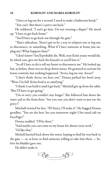"I have to log out for a second. I need to make a bathroom break." "You can't. But there's a privy out back."

He reddened. "I can't go here. I'm not wearing a diaper." He stood up. "I have to get back home."

"You'll have to go back out through the gate."

"That's ridiculous. There's got to be a way to teleport out or log out, or disconnect, or something. What if I have someone at home just unplug me? What happens then?"

"I don't know! You'll probably die. Well, your Krim avatar would die. In which case, give me back the bracelet or you'll lose it."

"So all I have to do is tell my house to disconnect me." He looked up, but, as before, there was no drop-down menu. He gestured to activate his house controls, but nothing happened. "Avexa, log me out. Avexa!"

"I don't think Avexa can hear you." Donna pushed her bowl away. "Wow, I'm full. Krim food is so satisfying."

"I think I can hold it until I get back." Mitchell got up from the table. "But I'll have to get going."

"I'm so sorry you couldn't stay longer." She followed him down the stairs and to the front door. "Are you sure you don't want to just use the privy?"

Mitchell twisted his face. "If I hurry, I'll make it." He hugged Donna goodbye. "You are the best. See you tomorrow night? Our usual cafe on FacePage?"

Donna nodded. "I'll be there."

"And maybe you can come to my house for dinner next week."

"I'd like that."

Michell hurried back down the street, hoping to find his way back to the gate — or, at least, to find someone willing to take him there — before his bladder gave out.

He didn't make it.

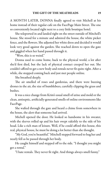A MONTH LATER, DONNA finally agreed to visit Michell at his home instead of their regular cafe on the FacePage Main Street. The one so conveniently located right next to a cozy little boutique hotel.

She teleported in and landed right on the street outside of Mitchell's house. She stood for a minute and admired the house, the white picket fence, and the flowers. She adjusted her white dress and decided it would look very good against the garden. She reached down to open the gate and giggled when her hand passed through it.

"Wow, this is so weird."

Donna used to come home, back to the physical world, a lot after she'd first died, but the lack of physical contact creeped her out. She couldn't afford to get a new body and rentals never fit quite right. After a while, she stopped coming back and just met people online.

She breathed deeply.

The air smelled of roses and gardenias, and there were buzzing drones in the air, the size of bumblebees, carefully clipping the grass and bushes.

It was a nice change from Krim's usual smell of urine and mold or the clean, antiseptic, artificially-generated smells of online environments like FacePage.

She wafted through the gate and heard a chime from somewhere in the house, the alert that someone had arrived.

Michell opened the door. He looked so handsome in his sweater, with the sleeves rolled up and his hair swept rakishly to the side of his head. Like a rich man of leisure. Well, if he could afford this house, this real, physical house, he must be doing a lot better than she thought.

"My God, you're beautiful." Mitchell stepped forward to hug her and nearly fell as he passed through her body.

He caught himself and stepped off to the side. "I thought you might get a rental."

"I hate rentals. They never fit right. And things always smell funny."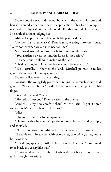Donna could never find a rental body with the exact skin tone and hair she wanted, either, and the virtual projection of her face never quite matched the physical one. People could tell if they looked close enough. She could feel them judging her.

Mitchell stepped around her and held open the door.

"Besides, it's so expensive," Donna said, walking into the house. "Why bother, when we can just meet online?"

She turned around one last time before entering the house.

"Your garden is awesome, and the house is just perfect."

"It's small, but it's all mine, including the land."

"I hadn't thought of it before, but you must be really rich."

"Well, actually, I inherited the land." Mitchell pointed it to his grandpa's portrait. "From my grandpa."

Donna walked over to the painting.

"So this is the young lady you've been telling me so much about," said grandpa. "She's a real beaut." Inside the picture frame, grandpa kissed his fingers.

"Yeah, she is," said Mitchell.

"Pleased to meet you." Donna waved at the portrait.

"And this is my new comfort chair," Mitchell said. "I got it three weeks ago. It's practically state of the art."

"Nice"

"I figured it was time for an upgrade."

"He means that he couldn't get the old one cleaned," said grandpa, and chortled.

"Never mind that," said Mitchell. "Let me show you the kitchen."

The table was already set, with two plates, two wine glasses, and a bottle of wine.

"I made my specialty. Grilled cheese sandwiches. They're supposed to be black and crusty like that."

Donna sat down at the table but when she put her arms on it they sank through the surface.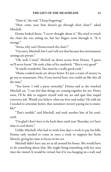"Darn it," she said. "I keep forgetting."

"How come your butt doesn't go through their chair?" asked Mitchell.

Donna looked down. "I never thought about it." She tried to touch the chair she was sitting on, but her fingers went through it. "It is strange."

"Avexa, why can't Donna touch the chair?"

"I'm sorry, Mitchell, but I can't tell you that because her environment settings are private."

"Oh, well, I tried." Michell sat down across from Donna. "I guess we'll never know." He took a bite of his sandwich. "This is very good."

"It smells wonderful. You must be a really good cook."

"Home cooked meals are always better. It's just a waste of money to go out to restaurants. Hey, if you moved here, you could eat like this all the time."

"You know, I sold a purse yesterday," Donna said as she watched Mitchell eat. "I can feel that things are coming together for me. Pretty soon, I'll be able to support myself with my art and quit that stupid voiceover job. Would you believe what my boss said today? He told me I needed to articulate better, that customers weren't paying me to mumble!"

"That's terrible," said Mitchell, and took another bite of his sandwich.

"I'm glad I don't have to be back there until next Thursday, so I have time to cool down."

Unlike Mitchell, who had to work four days a week to pay his bills, Donna only needed to come in once a week to support her Krim lifestyle, giving her time to focus on her art.

Mitchell didn't have any art at all around his house. She would have to do something about that. She might bring something with her next time she visited. It would be virtual, but if it was hanging on a wall, and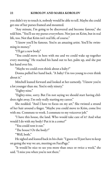you didn't try to touch it, nobody would be able to tell. Maybe she could get one of her purses framed and mounted.

"Any minute, I'm going to be discovered and become famous," she told him. "You'll see my purses everywhere. Not just on Krim, but in real life, too. Not that Krim isn't real life, of course."

"I know you'll be famous. You're an amazing artist. You'll be swimming in money."

"I'll get a new body."

"You could move in here with me and we could wake up together every morning." He reached his hand out to her, palm up, and she put her hand over his.

"Maybe we could even think about a baby?"

Donna pulled her hand back. "A baby? I'm too young to even think about it."

Mitchell leaned forward and looked at her earnestly. "I know you're a lot younger than me. You're only ninety."

"Eighty-nine."

"Eighty-nine, sorry. But I'm not saying we should start having children right away. I'm only really starting my career."

She nodded. "And I have to focus on my art." She twisted a strand of her hair around a finger. "Maybe you could move to Krim, come live with me. Commute to work. I commute to my voiceover job."

"I have this house, the land. Who would take care of it? And what would I do with my body? Put it in a coma?"

"You could rent it out."

"The house? Or the body?"

"Well, both."

He sighed and leaned back in his chair. "I guess we'll just have to keep on going the way we are, meeting on FacePage."

"It would be nice to see you more than once or twice a week," she said. "I miss you when you're not there."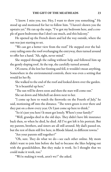"I know. I miss you, too. Hey, I want to show you something." He stood up and motioned for her to follow him. "I haven't shown you the upstairs yet." He ran up the steps. "I've got my bedroom here, and a couple of guest bedrooms that I don't use much, and this balcony."

He opened up the French doors and led the way outside, where the sun was just starting to set.

"We can get a better view from the roof." He stepped over the balcony railing onto the roof overhanging the entryway, then turned around to offer her a hand. "Ah, right, never mind."

She stepped through the railing without help and followed him up the gently sloping roof. At the top, she carefully turned around.

Of course, if she lost her footing and fell, it wouldn't mean anything. Somewhere in the environmental controls, there was even a setting that would let her fly.

She walked to the end of the roof and looked down over the garden. "It is beautiful up here."

"The sun will be down soon and then the stars will come out."

She sat down and Mitchell sat down next to her.

"I come up here to watch the fireworks on the Fourth of July," he said, motioning off into the distance. "The town green is over there and they put on a show every year. Or I just come up here to think."

"So it's just you here? It must get lonely. Where's your family?"

"Well, grandpa died in the old days. They didn't have life insurance back then, so when he died, he died. All I've got left is his portrait. But my parents, brothers, and sisters are all still around. My dad's passed on, but the rest of them still live here, in Rhode Island, in different towns."

"Are your parents still together?"

"Oh, sure. They do what we do—see each other online. My mom didn't want to join him before she had to because she likes helping out with the grandchildren. But they make it work. So I thought that we could make it work, too."

"We're making it work, aren't we?" she asked.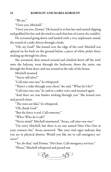"We are."

"I love you, Mitchell."

"I love you too, Donna." He leaned in to kiss her and started slipping and grabbed for her and she tried to catch him but of course she couldn't.

He screamed going down and landed with a very unpleasant sound, the sound of a stake driven through a body.

"Oh, my God!" She leaned over the edge of the roof. Mitchell was splayed on his back on the ground below, a piece of white picket fence sticking up through his chest.

She screamed, then turned around and climbed down off the roof, onto the balcony, went through the bedroom, down the stairs, out through the front door, and ran around to the side of the house.

Mitchell moaned.

"You're still alive!"

"Call nine-one-one," he whispered.

"There's a stake through your chest," she said. "What do I do?"

"Call nine-one-one," he said in a softer voice and moaned again.

"And there are rose bushes sticking through you." She leaned over and peered closer.

"The roses are fake," he whispered.

"Oh, thank God."

"But the fence is real. Call someone."

"Who? Who do I call?"

"Never mind," Mitchell murmured. "Avexa, call nine-one-one."

"I'm sorry Mitchell, but there is no one named Nine One One in your contacts list," Avexa answered. "But your vital signs indicate that you are in physical distress. Would you like me to call emergency services?"

"Yes, do that," said Donna. "He's hurt. Call emergency services."

"Please," Mitchell whispered and passed out.

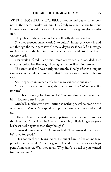AT THE HOSPITAL, MITCHELL drifted in and out of consciousness as the doctors worked on him. His family was there all the time but Donna wasn't allowed to visit until he was awake enough to give permission.

They'd been dating for months but officially she was a nobody.

She tried to focus on her work. She couldn't. Instead, she went in and out through the main gate several times a day to see if he'd left a message, to check in with the hospital about whether she could visit him. There was no word.

Her work suffered. Her hearts came out wilted and lopsided. Her unicorns looked less like magical beings and more like rhinoceroses.

The emotional toll was nearly unbearable. Finally, after the longest two weeks of her life, she got word that he was awake enough for her to visit.

She teleported in immediately, but he was unconscious again.

"It could be a few more hours," the doctors told her. "Would you like to wait?"

"I've been waiting for two weeks! You wouldn't let me come see him!" Donna burst into tears.

Mitchell's mother, who was knitting something pastel-colored on the other side of Mitchell's hospital bed, put her knitting down and stood up.

"There, there," she said, vaguely patting the air around Donna's shoulder. 'Don't cry. He'll be fine. It's just taking a little longer to grow his heart back together than they thought."

"I missed him so much!" Donna sobbed. "I was worried that maybe he'd died for good."

"He's got excellent life insurance. He might have to live online temporarily, but he wouldn't die for good. These days, that never ever happens. Almost never. Well, very rarely. Why didn't you tell us you wanted to come see him?"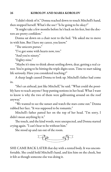"I didn't think of it." Donna reached down to touch Mitchell's hand, then stopped herself. What's the use? "Is he going to be okay?"

"It might take a few months before he's back on his feet, but the doctors are pretty confident."

Donna sat down on a chair next to the bed. "He asked me to move in with him. But I have my career, you know."

"The unicorn purses."

"I've got some with hearts now, too."

"And you're ninety."

"Eighty-nine."

"Maybe it's time to think about settling down, dear, getting a real career. You're going to be hitting the triple digits soon. Time to start taking life seriously. Have you considered teaching?"

A sharp laugh caused Donna to look up. Mitchell's father had come in.

"She's an airhead, just like Mitchell," he said. "What could she possibly have to teach anyone? Stop putting notions in her head. What I want to know is why the two of them were gallivanting around on the roof anyway."

"We wanted to see the sunset and watch the stars come out." Donna rubbed her face. "It was supposed to be romantic."

Mitchell's father patted her on the top of her head. "I'm sorry, I didn't mean anything by it."

The touch, and the kind words, were unexpected, and Donna started crying again. "I can't bear to be without him."

She stood up and ran out of the room.



SHE CAME BACK LATER that day with a rented body. It was uncomfortable. She could hold Mitchell's hand, and kiss him on the cheek, but it felt as though someone else was doing it.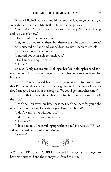Finally, Mitchell woke up, and his parents decided to go out and get some dinner so she and Mitchell could have some privacy.

"I missed you." Mitchell's voice was soft and raspy. "I kept waking up and you weren't here."

"They wouldn't let me see you."

"I figured. I tried to tell them, but there was a tube down my throat." She squeezed his hand and leaned down to kiss him on the cheek.

"You got a rental," he mumbled.

"I missed not being able to touch you."

"The hair doesn't quite match."

"I know."

She sat silently next to him, looking at his face, holding his hand, trying to ignore the tubes running in and out of his body, to look brave, for his sake.

Finally, Mitchell licked his lips and spoke again. "You know, now that I'm awake, they say they can let me go online for a couple of hours a day. I can get a break from the hospital. We could go somewhere nice."

"I'd like that." She clutched his hand tighter. "I'm sorry you fell off the roof."

"Don't be. You saved my life. I'm sorry I can't be there for you right now. These last two weeks, without you, have been brutal."

"I don't want to live without you."

"I don't want to live without you, either."

"I love you."

"I love you, too. I hate waking up without you." He paused. "This accident has made me think about things."

"Me too."



A WEEK LATER, MITCHELL contacted his lawyer and arranged to have his house sold and the money transferred to Krim.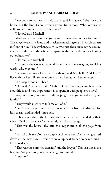"Are you sure you want to do that?" said his lawyer. "You love the house, but the land it's on is worth several times more. Whoever buys it will probably immediately tear it down."

"I know," said Mitchell.

"And you are certain that you want to move the money to Krim?" The lawyer waved his hand and checked something on an invisible screen in front of him. "The exchange rate is atrocious, their currency has no investment value, and the whole company is always on the verge of going out of business."

"I know," said Mitchell.

"It's one of the worst-rated worlds out there. If you're going to pick a world, why that one?"

"Because the love of my life lives there," said Mitchell. "And I can't live without her. I'll use the money to help her launch her art career."

The lawyer shook his head.

"No, really," Mitchell said. "This accident has taught me how precious life is, and how important it is to spend it with people you love."

"So you're sure you want to pull the plug? Have you talked with your family?"

"They would just try to talk me out of it."

"Fine." The lawyer put a set of documents in front of Mitchell for him to sign and handed him a pen.

"It beats months in the hospital and then in rehab — and after that, what? We'll still be apart." Mitchell signed the first page.

"That was the house sale," said the lawyer and took the page from him.

"I'd still only see Donna a couple of times a week." Mitchell glanced down at the next page. "I want to wake up next to her every morning." He signed again.

"That was the currency transfer," said the lawyer. "This last one is the big one. Are you sure you won't change your mind?"

"I'm sure."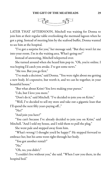

LATER THAT AFTERNOON, Mitchell was waiting for Donna to join him at their regular table overlooking the mermaid lagoon when he got a ping. Instead of meeting him by the seafood buffet, Donna wanted to see him at the hospital.

"I've got a surprise for you," her message said. "But they won't let me into your room. I'm in the waiting area. What's going on?"

Instead of answering, Mitchell teleported over.

She turned around when she heard him pop in. "Oh, you're online. I was hoping I'd catch you awake. I've got some news."

"Me too. But you go first."

"I've made a decision," said Donna. "You were right about me getting a new body. It's expensive, but worth it, and we can be together, in your beautiful house."

"But what about Krim? You love making your purses."

"I do, but I love you more."

"Don't do it," said Mitchell. "I've decided to join you on Krim."

"Well, I've decided to sell my store and take out a gigantic loan that I'll spend the next fifty years paying off..."

" $No!$ "

"And join you here!"

"You can't because I've already decided to join you on Krim," said Mitchell. "And I sold my house, and I told them to pull the plug."

She went pale and stepped away from him.

"What's wrong? I thought you'd be happy!" He stepped forward to embrace her, but his arms went right through her body.

"You got another rental?"

" $No.$ "

"Oh, no, you didn't."

"I couldn't live without you," she said. "When I saw you there, in the hospital bed."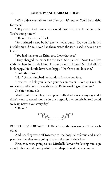"Why didn't you talk to me? The cost - it's insane. You'll be in debt for years."

"Fifty years. And I knew you would have tried to talk me out of it. You're doing it now."

"Oh, no." He stepped back.

"So I printed a new body." She twirled around. "Do you like it? It's just like my old one. I even had them match the scar I used to have on my knee."

"You had that scar on Krim, too. I love that scar."

"They charged me extra for the scar." She paused. "Now I can live with you here in Rhode Island, in your beautiful house." Mitchell didn't look happy. He should have been happy. "Don't you still love me?"

"I sold the house."

"No!" Donna clutched her hands in front of her face.

"I wanted to help you launch your design career. I even quit my job so I can spend all my time with you on Krim, working on your art."

She bit her knuckle.

"And I pulled the plug. I was practically dead already anyway and I didn't want to spend months in the hospital, then in rehab. So I could wake up next to you every day."

"Oh, no."



BUT THE IMPORTANT THING is that the two lovers still had each other.

And, so, they went off together to the hospital cafeteria and made plans for how they were going to spend the rest of their lives.

First, they were going to sue Mitchell's lawyer for letting him sign away his house and money while in no shape to make any decisions.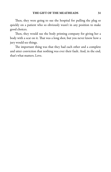Then, they were going to sue the hospital for pulling the plug so quickly on a patient who so obviously wasn't in any position to make good choices.

Then, they would sue the body printing company for giving her a body with a scar on it. That was a long shot, but you never know how a jury would see things.

The important thing was that they had each other and a complete and utter conviction that nothing was ever their fault. And, in the end, that's what matters. Love.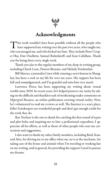

### Acknowledgments

This work wouldn't have been possible without all the people who have supported my writing over the past two years, who taught me, have supported my writing over the past two years, who taught me, who encouraged me, and who kicked my butt. They include Peter Cooper Hay, Dan Ouellette, Samuel Ruhmkorff, and Sean Cahillane. Thank you for being there every single week.

Thank you also to the regular members of my drop-in writing group, including Chuck Loan, Noreen Brenner, and Melody Friedenthal.

Bill Marcus, a journalist I met while running a news bureau in Shanghai, has been a rock in my life for over ten years. His support has been full and nonjudgmental, and I'm grateful and miss him very much.

Lawrence Pierce has been supporting my writing about virtual worlds since 2010. In recent years, he's helped preserve my sanity by taking on the difficult and thankless task of moderating reader comments on Hypergrid Business, an online publication covering virtual reality. Now, he's volunteered to read my reviews as well. The Internet is a scary place, folks! Gatekeepers are wonderful people and don't get enough credit for the work they do.

Ilan Tochner is the one to thank for catching the first round of typos and plot holes and inspiring me to hire a professional copyeditor. I appreciate all his efforts, as well as those of other people who sent me corrections and suggestions.

I also want to thank my other family members, including Basil, Kate, and Alex, for driving me to my office when my car is at the mechanic, for taking care of the house and animals when I'm traveling or working late on my writing, and in general, for providing the support I need to pursue my dreams.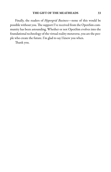Finally, the readers of Hypergrid Business-none of this would be possible without you. The support I've received from the OpenSim community has been astounding. Whether or not OpenSim evolves into the foundational technology of the virtual reality metaverse, you are the people who create the future. I'm glad to say I knew you when.

Thank you.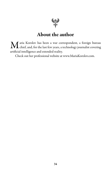

# About the author

 $\mathbf M$  aria Korolov has been a war correspondent, a foreign bureau chief, and, for the last few years, a technology journalist covering chief, and, for the last few years, a technology journalist covering artificial intelligence and extended reality.

Check out her professional website at www.MariaKorolov.com.